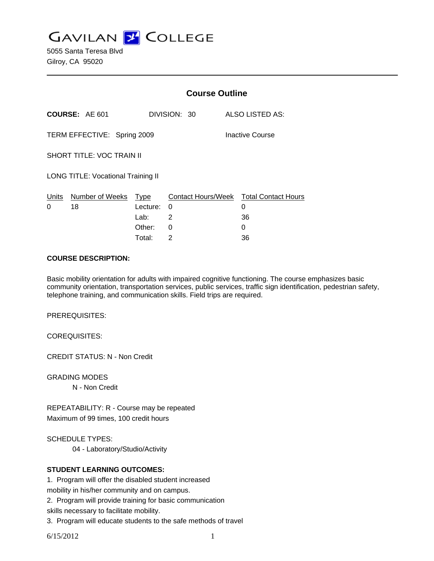**GAVILAN Z COLLEGE** 

5055 Santa Teresa Blvd Gilroy, CA 95020

|                                           |                            | <b>Course Outline</b> |              |                                        |  |
|-------------------------------------------|----------------------------|-----------------------|--------------|----------------------------------------|--|
|                                           | <b>COURSE: AE 601</b>      |                       | DIVISION: 30 | ALSO LISTED AS:                        |  |
| TERM EFFECTIVE: Spring 2009               |                            |                       |              | Inactive Course                        |  |
| <b>SHORT TITLE: VOC TRAIN II</b>          |                            |                       |              |                                        |  |
| <b>LONG TITLE: Vocational Training II</b> |                            |                       |              |                                        |  |
|                                           | Units Number of Weeks Type |                       |              | Contact Hours/Week Total Contact Hours |  |
| 0                                         | 18                         | Lecture: 0            |              | 0                                      |  |
|                                           |                            | Lab: Lab              | 2            | 36                                     |  |
|                                           |                            | Other:                | 0            | 0                                      |  |
|                                           |                            | Total:                | 2            | 36                                     |  |

#### **COURSE DESCRIPTION:**

Basic mobility orientation for adults with impaired cognitive functioning. The course emphasizes basic community orientation, transportation services, public services, traffic sign identification, pedestrian safety, telephone training, and communication skills. Field trips are required.

PREREQUISITES:

COREQUISITES:

CREDIT STATUS: N - Non Credit

GRADING MODES

N - Non Credit

REPEATABILITY: R - Course may be repeated Maximum of 99 times, 100 credit hours

SCHEDULE TYPES:

04 - Laboratory/Studio/Activity

### **STUDENT LEARNING OUTCOMES:**

1. Program will offer the disabled student increased

mobility in his/her community and on campus.

2. Program will provide training for basic communication

skills necessary to facilitate mobility.

3. Program will educate students to the safe methods of travel

6/15/2012 1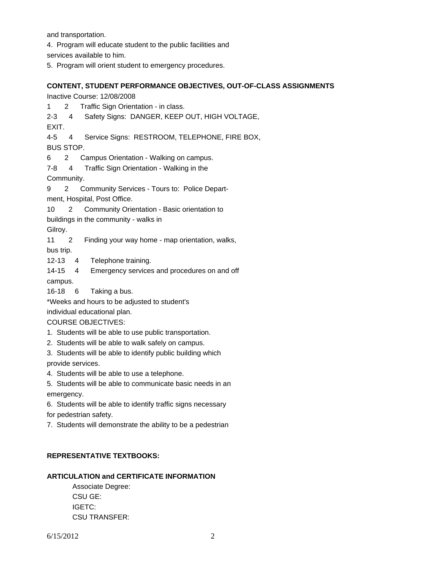and transportation.

4. Program will educate student to the public facilities and

services available to him.

5. Program will orient student to emergency procedures.

## **CONTENT, STUDENT PERFORMANCE OBJECTIVES, OUT-OF-CLASS ASSIGNMENTS**

Inactive Course: 12/08/2008

1 2 Traffic Sign Orientation - in class.

2-3 4 Safety Signs: DANGER, KEEP OUT, HIGH VOLTAGE,

EXIT.

4-5 4 Service Signs: RESTROOM, TELEPHONE, FIRE BOX,

BUS STOP.

6 2 Campus Orientation - Walking on campus.

7-8 4 Traffic Sign Orientation - Walking in the

Community.

9 2 Community Services - Tours to: Police Depart-

ment, Hospital, Post Office.

10 2 Community Orientation - Basic orientation to

buildings in the community - walks in

Gilroy.

11 2 Finding your way home - map orientation, walks,

bus trip.

12-13 4 Telephone training.

14-15 4 Emergency services and procedures on and off campus.

16-18 6 Taking a bus.

\*Weeks and hours to be adjusted to student's

individual educational plan.

COURSE OBJECTIVES:

1. Students will be able to use public transportation.

2. Students will be able to walk safely on campus.

3. Students will be able to identify public building which provide services.

4. Students will be able to use a telephone.

5. Students will be able to communicate basic needs in an emergency.

6. Students will be able to identify traffic signs necessary for pedestrian safety.

7. Students will demonstrate the ability to be a pedestrian

# **REPRESENTATIVE TEXTBOOKS:**

## **ARTICULATION and CERTIFICATE INFORMATION**

 Associate Degree: CSU GE: IGETC: CSU TRANSFER: